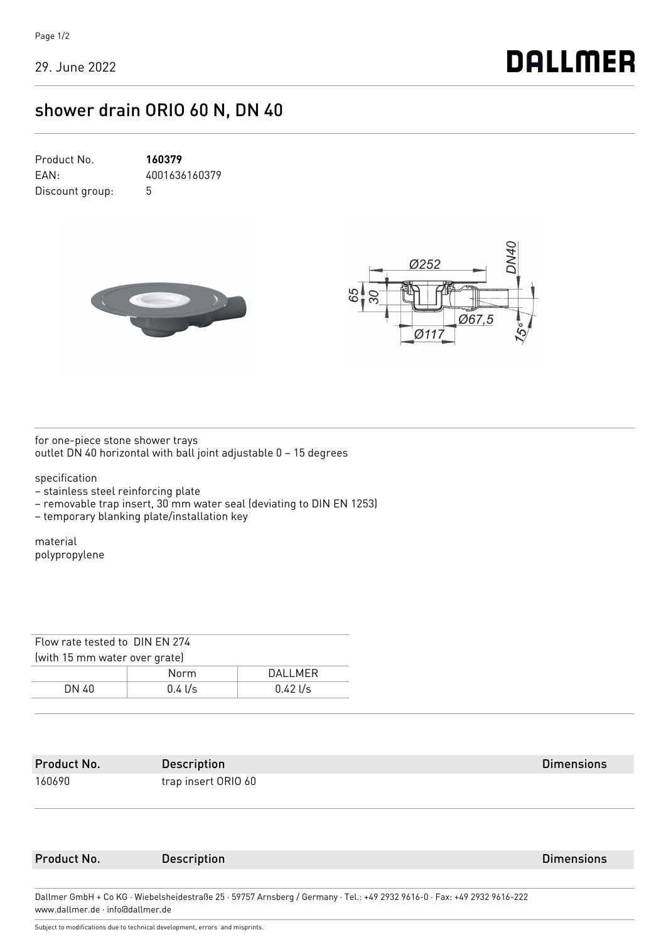## shower drain ORIO 60 N, DN 40

| Product No.     | 160379        |
|-----------------|---------------|
| FAN:            | 4001636160379 |
| Discount group: | 5             |





for one-piece stone shower trays outlet DN 40 horizontal with ball joint adjustable 0 – 15 degrees

specification

– stainless steel reinforcing plate

– removable trap insert, 30 mm water seal (deviating to DIN EN 1253)

– temporary blanking plate/installation key

material polypropylene

| Flow rate tested to DIN FN 274 |           |           |  |  |  |
|--------------------------------|-----------|-----------|--|--|--|
| (with 15 mm water over grate)  |           |           |  |  |  |
|                                | Norm      | DAI I MFR |  |  |  |
| DN 40                          | $0.4$ l/s | 0.421/s   |  |  |  |
|                                |           |           |  |  |  |

| Product No.                                                                                                              | <b>Description</b>  | <b>Dimensions</b> |  |  |
|--------------------------------------------------------------------------------------------------------------------------|---------------------|-------------------|--|--|
| 160690                                                                                                                   | trap insert ORIO 60 |                   |  |  |
|                                                                                                                          |                     |                   |  |  |
| Product No.                                                                                                              | <b>Description</b>  | <b>Dimensions</b> |  |  |
|                                                                                                                          |                     |                   |  |  |
| Dallmer GmbH + Co KG · Wiebelsheidestraße 25 · 59757 Arnsberg / Germany · Tel.: +49 2932 9616-0 · Fax: +49 2932 9616-222 |                     |                   |  |  |

Subject to modifications due to technical development, errors and misprints.

www.dallmer.de · info@dallmer.de